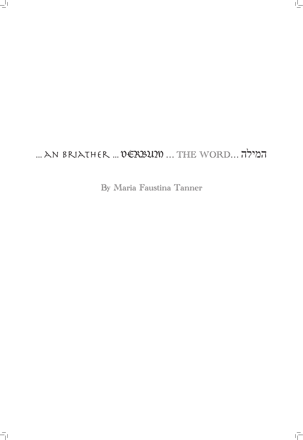# ... an briather ... VERBUM … THE WORD… המילה

 $\frac{1}{1}$ 

 $\overline{=}$ 

By Maria Faustina Tanner

 $\overline{\overline{1}}$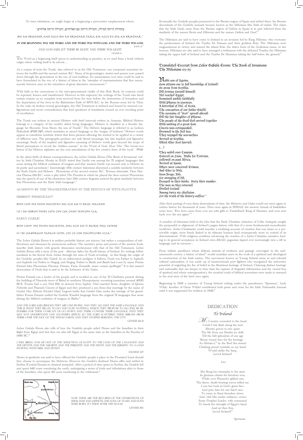To trace tabulation, we might begin at a beginning a provocative emplacement where;

## 1 בתחילה הייתה המילה, והמילה הייתה עם האלוהים, והמילה הייתה אלוהים.

#### JOHN 1:1  $^3$ And God Said, Let there be light, and there was light.

GENESIS 1:1

Bhi an briather ann agus bhi an briathar fara Dia agus b'e Dia an Briathar.2

As a corpus of texts the Torah, also referred to as the Old Testament, was composed sometime between the twelfth and the second century B.C. Many of its genealogies, stories and poems were passed down through the generations in the way of oral tradition. It's transmission over time could be said to have formulated in the way of a history of ideas in the 'interplay of representations that flow anonymously between men in the interstices of great discursive monuments.<sup>4</sup>

#### **In the beginning was the Word, and the Word was with God, and the Word was God.**

The Word as a beginning itself opens to understanding as paradox, as we read from a book without origin where writing itself is its advent…

With faith as the cornerstone to the inter-generational vitality of this Holy Book, its contents could be repeated, known and transformed. However in this trajectory the writings of the Torah also faced certain erasure as no complete texts survived from the time before the destruction of Jerusalem and the deportation of the Jews in the Babylonian Exile of 587/6 B.C. by the Roman army led by Titus. In the wake its broken textual genealogies, the Old Testament is imbued and bound by internal configurations and secret contradictions that lead questions of translation toward an ever receding point of occultation.

In the silent birth of distant correspondences, the Lebor Gabála Érenn (The Book of Invasions), written by Irish Christian Monks in 11AD, stated that Gaelic was among the 72 original languages that arose during the biblical confusion of tongues and that 'ancient Gaelic was second only to Hebrew in its purity and sacredness'.<sup>8</sup> Interestingly 18th century historians discerned a notable similarity between the Early Gaelic and Hebrew - Phoenician of the second century B.C. 'Roman dramatist, Titus Maccius Plautus 184 B.C. wrote a play titled The Penulus in which he placed the then current Phoenician into the speech of one of his characters, later 18th century linguists noticed the great similarity between that Phoenician and the Early Irish Language'.9

The Torah was written in ancient Hebrew with brief intervals written in Aramaic. Biblical Hebrew belongs to a category of the world's oldest living languages. 'Hebrew is classified as a Semitic language (or Shemitic, from Shem, the son of Noah)'.<sup>5</sup> The Hebrew language is referred to as Leshon Hakodesh הקודש לשון, which translates as sacred language or the 'tongue of holiness'.6 Hebrew words appear as cuneiform symbols, letters that form pictures allowing the symbol to be applied in a variety of different ways. The pictographs produce not only literal meanings, but also implied and figurative meanings. Study of the implied and figurative meaning of Hebrew words goes beyond the scope of literal perceptions to reveal the 'hidden manna'<sup>7</sup> in the Word of God, *Dvar Yhw*. The twenty-two letters of the Hebrew alphabet are the root articulations of the live creative force of the word – המילה

The Lebor Gabála Érenn it is neither probable history nor science, but rather a compendium of subliteratures and almanacs by anonymous authors. The narrative prose and poems of the ancient book, inscribe Irish history with genetic dimension synchronous with that of the Old Testament. Lebor Gabála Érenn tells a story of the post - diluvian (after the flood) history of Ireland. It's writings follow mankind in his decent from Adam through the sons of Noah revealing - in this linage the origin of the Goidelic peoples (the Gales). In an abbreviated pedigree it follows; Noah was Father to Japheth and Japheth was Father to Magog, and Magog, Father to Baath and Baath had a son by name Fénius Farsaid (also Phoeniusa; Phenius, Féinius, Farsa, Farsaidh, many variant spellings).<sup>12</sup> It is this named descendant of Noah that is said to be the forbearer of the Gales.

Fénius Farsaid was a leader of his people and is recalled as one of the 72 Chieftains present during the building of Nimrods tower of Babel in southern Mesopotamia, occurring sometime around 4000 BCE. Fenius had a son Niul fifth in descent from Japhet. Niul married Scota, daughter of Queen Nefertiti and Pharaoh Cincris of Egypt and they produced a son from that marriage by the name of Goídel Mac Ethéoir (Goidel Glas). Legend holds that Goidel Glas under the tutelage of his grandfather Fenius Farsaid crafted the Godelic (Gaelic) language from the original 72 languages that arose during the biblical confusion of tongues in Bable.<sup>13</sup>

Lebor Gabála Érenn also tells of how the Goidelic people aided Moses and the Israelites in their flight from Egypt and that they too also left Egypt at the same time as the Israelites in the Exodus of 1446 BC.<sup>14</sup>

Moses in gratitude was said to have offered the Goidelic people a place in the Promised Land should they choose to accompany the Hebrews. However the Goidel's declined Moses offer and settled in Scythia (Central Eurasia in classical antiquity). After a period of time spent in Scythia, the Goidels left and spent 440 years wandering the earth, undergoing a series of trials and tribulations akin to those of the Israelites, who spent 40 years wandering in the wilderness.<sup>15</sup>



Eventually the Goidelic peoples journeyed to the Iberian region of Spain and settled there, the Iberian decendants of the Goidelic nomads became known as the Milesians (the Irish of today). The claim that the Irish Gaels came from the Iberian region of Galicia in Spain is in part inferred from the similarity of the names *Iberia* and *Hibernia* and the names *Galicia* and *Gael'.*"

### AS SHOWN BY THE TRANSLITERATION IN THE PENULUS OF TITUS PLAUTUS:

HEBREW-PHOENICIAN<sup>10</sup>

Byth lym mo thym nociothii nel ech an ti daisc machon

The Milesians are said to have come to Ireland in an invasion led by King Milesius, who overcame the predecessors of Ireland the Tuatha De Danaan and their goddess Ériu. The Milesians were magnanimous in victory and named the island Erin, the dative form of the Godessess name, in her honour. Milesians are also said to have arranged a settlement with the defeated Tuatha, the Milesians taking the upper half of Ireland and the Tuatha De Dananna taking the half below the ground.<sup>16</sup>

Ys i do iebrim thyfe lyth chy lya chon temlyph ula.

EARLY GAELIC

Beth liom' mo thime nociaithe, niel ach an ti dairie mae coinne

### Is i de leabhraim tafach leith, chi lis con teampluibh ulla.11

They sailed over Caspian Entered on Liuis, Made for Toirrian, Followed on past Africa, Arrived at Spain, Where were conceived Erimon, And Eber to Mile, Soon Brego, Bile, For avenging of Ith, Grouped in their barks, Sixty their number.  $\mathcal{L}$ he men as they returne $\delta$ Divided Ireland Among twice six chieftains . Let the truth of the history suffice!  $18$ 

After their parting of ways these descendants of time, the Hebrews and Gales would not meet again in written history for thousands of years. Then once again in 1079AD, the ancient Annals of Inishfallen wrote how; "Five Jews came from over sea with gifts to Tairdelbach King of Munster, and were sent back over the sea again".<sup>19</sup>

Beginning in 1845 a member of Young Ireland writing under the pseudonym ''Speranza'', Lady Wilde, (mother of Oscar Wilde) contributed both prose and verse for the Irish Nationalist Journal until it was suppressed for sedition in  $1848$ .<sup>21</sup>

> She flung her triumphs to the stars In glorious chants for freedom won, While over Pharaoh's gilded cars The fierce, death-bearing waves rolled on: I can but look in God's great face, And pray him for our fated race, To come in Sinai thunders down, And, with His mystic radiance, crown Some Prophet-Leader, with command To break the strength of Egypt's band And set thee free, Loved Ireland!<sup>23</sup>

And the Lord said, Behold they are one people, and they all have the same language. And this is what they began to do and now nothing, which they propose to do, will be impossible for them. 'Come let us go down and there confuse their language, that they may not understand one another's speech. So the Lord scattered them abroad from there over the face of the whole earth; and they stopped building the city.

> Now these are the records of the generations of SHEM, HAM AND JAPHETH, THE SONS OF NOAH; AND SONS WERE BORN TO THEM AFTER THE FLOOD.

GENESIS 10:1

Genesis 11:6-8

I will bring you up out of the affliction of Egypt to the land of the Canaanite and the Hittite and the Amorite and The Perizzite and the Hivite and the Jebusite,' To a land flowing with milk and honey.

#### EXODUS 3:17

## Translated Excerpt from Lebor Gabála Érenn: The Book of Invasions The Milesians 65-95

Noble son of Ugoine, How attains one to full knowledge of Ireland? he arose from Scythia, Did Feinius Farsaid himself; Nél reached Egypt, Remained awhile faithfully With Pharao in journeys. A betrothal of Nél, of Scota, The conception of our father Gáedil, The surname of "Scot" spread abroad Did the fair daughter of Pharao. The people of the Good God arrived together With smiting of a great host. Cincris was extinguished, Drowned in the Red Sea. They voyaged the sea-surface Arrived at Scythia, Which Eber Scot harried;

## (…)

A number of historians held to the idea that the Early Christian redaction of Celtic Antiquity sought the purposeful re-alignment of Ireland's pagan history with that of a more fundamental monotheistic

worldview. Judeo-Christianity could inscribe a totalising account of creation that was closer to a perceivable origin, more firmly linked to its ultimate horizon (and consequently more in control of its determination). With religious erudition advancing the reaches of a Judeo-Christian narrative leading to its general acceptance in Ireland circa 431AD, paganism lapsed ever increasingly into a rift in language and its memory…

From infinite parallaxes whose delicate strands of credence and passage converged, in the midnineteenth century a *history of ideas*<sup>20</sup> would crystalize anew in the work of a spiritual and ideological re-construction of the Irish nation. The movement known as Young Ireland arose as anti-colonial cultural nationalism, it was made up of insurrectionist poet fighters who recognized the subversive potential of reigniting the fire of belief in the illustrious heritage of Ireland. Claiming distinct heritage and nationality that ran deeper in time than the rupture of linguistic bifurication and the viceral fear of spiritual and ethnic miscegenation's, the mystical cords of biblical syncretism were made to resound in the soul story of the land once again.

## DEDICATION

# *To Ireland*  $\mathcal{W}_{\mathbf{y}}$  Country wounded to the heart, Could I but flash along thy soul Electric power to rive apart Thy life from out Deaths icy drift, Till the full splendors of our age

Shone round thee for thy heritage – As Miriam's, $^{22}$  by the Red Sea strand Clashing proud cymbals, so my hand Would strike thy harp, Loved Ireland!

...

Speranza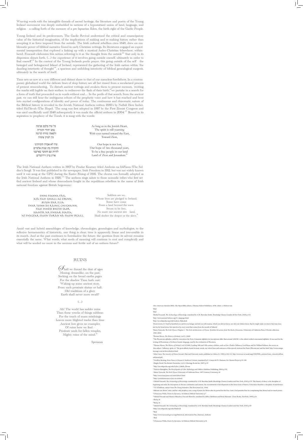Weaving words with the intangible threads of sacred heritage, the literature and poetry of the Young Ireland movement was deeply embedded in notions of a hypostatized union of land, language, and religion – a calling forth of the memory of a pre-lapsarian Eden, the birth right of the Gaelic People.

Young Ireland and its predecessors, The Gaelic Revival understood the critical and emancipatory value of the historical imagination, of the implications of making and re-making history rather than accepting it as force imposed from the outside. The Irish cultural rebellion circa 1848, drew on emblematic power of biblical narrative found in early Christian writings. Its literatures engaged an experimental transposition that explored a linking up with a mystical Judeo-Christian (elsewhere, within– here), Foucault elaborates this notion referring to it as 'the thought from the outside'<sup>24</sup> 'that only in its dispersion shines forth, (…) the experience of it involves going outside oneself, ultimately in order to find oneself<sup>25</sup>. In the context of the Young Irelands poetic prayer, this going outside of the self  $-$  the besieged and beleaguered Island of Ireland, represented the gathering of the Irish nation within 'the dazzling interiority of thought<sup>26</sup>, a spacious and unfolding interiority of biblical genealogical exegesis, ultimately in the search of itself.

> $\mathscr{D}_\text{hall}$  we thread the dust of ages Musing, dreamlike, on the past, Seeking on the broad earths pages For the shadow Time hath cast; Waking up some ancient story, From each prostrate shrine or hall. Old traditions of a glory Earth shall never more recall?

#### $($ ... $)$

Ah! The world has sadder ruins Than these wrecks of things sublime; For the touch of mans misdoings Leaves more blighted tracks than time Ancient lore gives no examples Of ruins here we find Prostrate souls for fallen temples, Mighty ruins of the mind.<sup>3</sup>

Time sets us now at a very different and distant shore to that of our nameless forefathers. In a contemporary globalized world the delicate lines of deep history are all but rinsed from a secularized process of present remembering. To disturb ancient writings and awaken them to present memory, 'reciting the marks still legible on their surface, to rediscover the flash of their birth',<sup>27</sup>we partake in a search for a form of truth that proceeded us in words without end… In the perils of that search, from the ancient past, we can still hear the ambiguous echoes of the prophetic voice and how it has reached and bent into myriad configurations of identity and power of today. The continuous and rhizomatic nature of the Biblical history is revealed in the Jewish National Anthem written 1880's by Naftali Herz Imber, titled HaTikvah (The Hope). 'The song was first adopted in 1897 by the First Zionist Congress and was used unofficially until 1948 subsequently it was made the official anthem in 2004.<sup>28</sup> Bound in its aspiration to prophecy of the Torah, it is sung with the words:

> Soldiers are we, Whose lives are pledged to Ireland, Some have come From a land beyond the wave, Sworn to be free, No more our ancient sire - land, Shall shelter the despot or the slave. $3$

The Irish National Anthem written in 1907 by Peadar Kearney titled Amhrán na bhFiann (The Soldier's Song). 'It was first published in the newspaper, Irish Freedom in 1912, but was not widely known until it was sung at the GPO during the Easter Rising of 1916. The chorus was formally adopted as the Irish National Anthem in 1926.<sup>30</sup> The anthem sings salute to those nomadic tribes who first settled ancient Ireland and whose descendants fought in the republican rebellion in the name of Irish national freedom against British hegemony:

Amid vast and hybrid assemblages of knowledge, chronologies, genealogies and mythologies, to the reflexive hermeneutics of historicity, one thing is clear; time is apparently linear and irreversible in its march. And as the past continues to foreshadow the future, the question from its advent remains essentially the same. What words, what seeds of meaning will continue to root and complexify and what will be seeded no more in the anxious and fertile soil of an unborn future?

## RUINS

Speranza

| כל עוד בלבב פנימה     | As long as in the Jewish Heart,           |
|-----------------------|-------------------------------------------|
| נפש יהודי הומייה      | The spirit is still yearning              |
| ולפאתי מזרח קדימה     | With eyes turned toward the East,         |
| עין לציון צופיה       | Toward Zion,                              |
| עוד לא אבדה תקוותינו  | Our hope is not lost,                     |
| התקווה בת שנות אלפיים | Our hope of two thousand years,           |
| להיות עם חופשי בארצנו | To be a free people in our land           |
| ארץ ציון וירושלים     | Land of Zion and Jerusalem. <sup>29</sup> |

Sinne Fianna Fáil, atá faoi gheall ag Éirinn, Buíon dár slua thar toinn do ráinig chughainn, Faoi mhóid bheith saor Seantír ár sinsear feasta, Ní fhágfar faoin tíorán ná faoin tráill.

> 1 *New American Standard Bible*, The Open Bible edition, (Thomas Nelson Publishers, 1978) John1: 1 Hebrew text 2 Ibid 3 Ibid 4 Michel Foucault, *The Archaeology of Knowledge*, translated by A.M. Sheridan Smith, (Routledge Classics London & New York, 2010) p.153 5 http://www.ancient-hebrew.org/11\_language.html 6 http://en.wikipedia.org/wiki/Leshon\_Hakodesh 7 *Deuteronomy 8:3* 'And he humbled you and let you hunger and fed you with manna, which you did not know, nor did your fathers know, that he might make you know that man does not live by bread alone, but man lives by every word that comes from the mouth of Yahweh 8 Maria Tymoczk, *The Irish Ulysses*, Chapter 2 - *The Irish Architectonics of Ulysses: Symbolic Structures from The Book of Invasions*, (University of California Press, E-books collection, 1982-2004) 9 Thomas Moore, *The History of Ireland*, (vol.3) (1840) <sup>10</sup>The Phoenician alphabet, called by convention the Proto-Canaanite alphabet for inscriptions older than around 1200 BC, is the oldest verified consonantal alphabet. It was used for the writing of Phoenician, a Northern Semitic language, used by the civilization of Phoenicia. <sup>11</sup>Thomas Moore, *The History of Ireland*, (vol.3)(1840), Leading 18th and 19th century scholars, such as Gen. Charles Vallancey, Lord Rosse and Sir William Betham, also wrote on this subject. Vallancey, spoke of, 'The great affinity found in many words, nay whole lines and sentences of this speech, between the Punic [Phoenician] and the Irish.' http://www.ensign message.com/archives/hebrew.html <sup>12</sup>John Carey, *The Ancestry of Fénius Farsaid*, (Harvard University study, published in Celtica 21, 1990) p.104-112. http://www.ucc.ie/acad/smg/CDI/PDFs\_articles/Carey\_AncestryofFeni usFarsaid.pdf <sup>13</sup> Geoffrey Keating, *Foras Feasa ar Eireann le Seathrun Ceitinne*, translated by E. Comyn & P.S. Dinneen, Ex-Classics Project p.91-100 14Hughe David, The British Chronicles, (vol.1) (Heritage Books Inc, 2007) p.35 15http://en.wikipedia.org/wiki/Lebor\_Gabála\_Éirenn 16 Patricia Monaghan, *The Encyclopedia of Celtic Mythology and Folklore* (Infobase Publishing, 2004) p.332 17Maria Tymoczk, *The Irish Ulysses* (University of California Press, 1997) Literary Criticism p.26 18http://www.maryjones.us/ctexts/lebor5.html 19http://jewishmuseum.ie/jews-in-ireland/ 20 Michel Foucault, *The Archaeology of Knowledge,* translated by A.M. Sheridan Smith (Routledge Classics London and New York, 2010) p.153 The history of ideas, is the discipline of beginning and ends, the description of obscure continuities and returns, the reconstitution of developments in the linear form of history. It becomes therefore a discipline of interference. 21 T.F. O'Sullivan, extract from *The Young Irelanders* (The Kerryman Ltd., 1944) <sup>22</sup>Miriam was Moses' sister, and her only prophecy was a song of praise for Moses after he parted the Red Sea. Later, God punished her for complaining that Moses had too much power. 23J Francesca Wilde, *Poems by Speranza*, 1st Edition (Oxford University) p.7 24 Michel Foucault and Maurice Blanchot, *Foucault Blanchot*, translated by Jeffrey Mehlman and Brian Massumi (Zone Books, NewYork, 1990) p.16 25Ibid p.16 26Ibid p.16 27 Michel Foucault, *The Archaeology of Knowledge,* translated by A.M. Sheridan Smith (Routledge Classics London and New York, 2010) p.68 28http://en.wikipedia.org/wiki/Hatikvah 29Ibid 30http://www.taoiseach.gov.ie/eng/Historical\_Information/The\_National\_Anthem/ <sup>31</sup>Ibid 32J Francesca Wilde, *Poems by Speranza*, 1st Edition (Oxford University) p.36